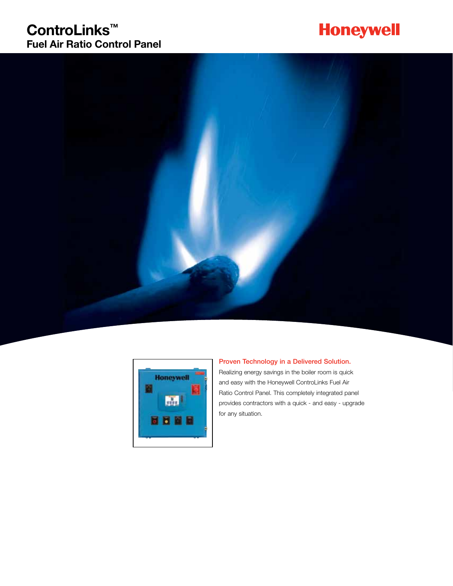### **ControLinks™ Fuel Air Ratio Control Panel**

# **Honeywell**





### Proven Technology in a Delivered Solution.

Realizing energy savings in the boiler room is quick and easy with the Honeywell ControLinks Fuel Air Ratio Control Panel. This completely integrated panel provides contractors with a quick - and easy - upgrade for any situation.